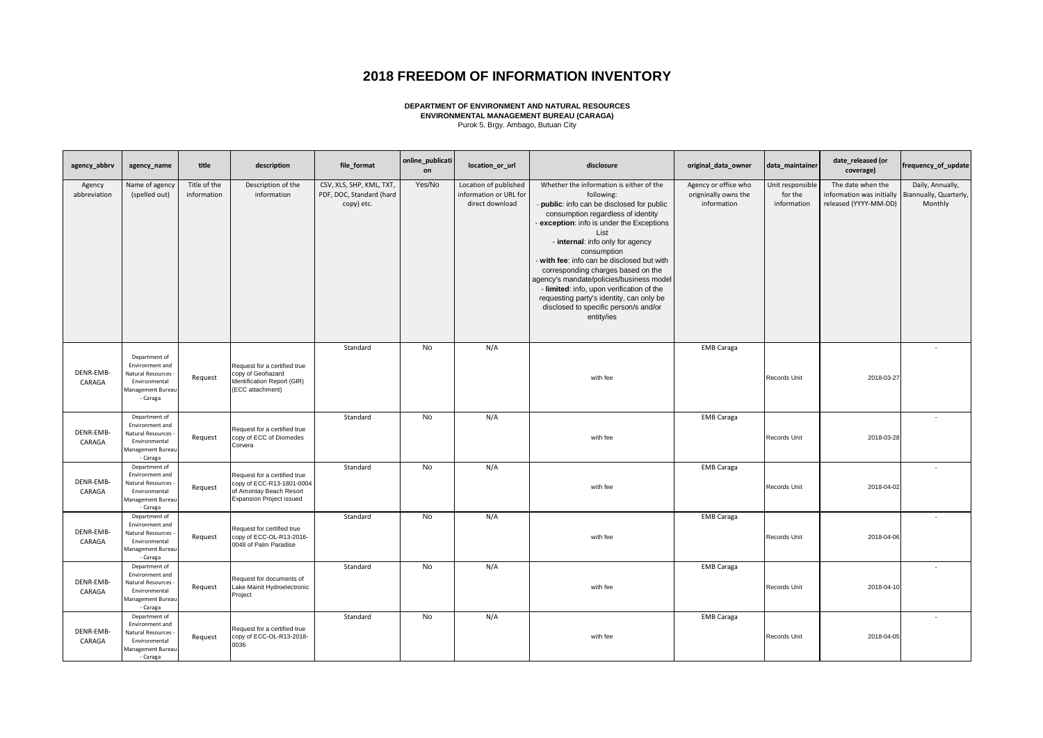## **2018 FREEDOM OF INFORMATION INVENTORY**

**DEPARTMENT OF ENVIRONMENT AND NATURAL RESOURCES ENVIRONMENTAL MANAGEMENT BUREAU (CARAGA)** Purok 5, Brgy. Ambago, Butuan City

| agency_abbrv           | agency_name                                                                                             | title                       | description                                                                                                             | file format                                                        | online_publicati<br>on | location_or_url                                                    | disclosure                                                                                                                                                                                                                                                                                                                                                                                                                                                                                                                       | original_data_owner                                         | data_maintainer                            | date_released (or<br>coverage)                                          | frequency_of_update                                   |
|------------------------|---------------------------------------------------------------------------------------------------------|-----------------------------|-------------------------------------------------------------------------------------------------------------------------|--------------------------------------------------------------------|------------------------|--------------------------------------------------------------------|----------------------------------------------------------------------------------------------------------------------------------------------------------------------------------------------------------------------------------------------------------------------------------------------------------------------------------------------------------------------------------------------------------------------------------------------------------------------------------------------------------------------------------|-------------------------------------------------------------|--------------------------------------------|-------------------------------------------------------------------------|-------------------------------------------------------|
| Agency<br>abbreviation | Name of agency<br>(spelled out)                                                                         | Title of the<br>information | Description of the<br>information                                                                                       | CSV, XLS, SHP, KML, TXT,<br>PDF, DOC, Standard (hard<br>copy) etc. | Yes/No                 | Location of published<br>information or URL for<br>direct download | Whether the information is either of the<br>following:<br>- public: info can be disclosed for public<br>consumption regardless of identity<br>exception: info is under the Exceptions<br>List<br>- internal: info only for agency<br>consumption<br>- with fee: info can be disclosed but with<br>corresponding charges based on the<br>agency's mandate/policies/business model<br>- limited: info, upon verification of the<br>requesting party's identity, can only be<br>disclosed to specific person/s and/or<br>entity/ies | Agency or office who<br>origninally owns the<br>information | Unit responsible<br>for the<br>information | The date when the<br>information was initially<br>released (YYYY-MM-DD) | Daily, Annually,<br>Biannually, Quarterly,<br>Monthly |
| DENR-EMB-<br>CARAGA    | Department of<br>Environment and<br>Natural Resources<br>Environmental<br>Management Bureau<br>- Caraga | Request                     | Request for a certified true<br>copy of Geohazard<br>Identification Report (GIR)<br>(ECC attachment)                    | Standard                                                           | No                     | N/A                                                                | with fee                                                                                                                                                                                                                                                                                                                                                                                                                                                                                                                         | <b>EMB Caraga</b>                                           | Records Unit                               | 2018-03-27                                                              |                                                       |
| DENR-EMB-<br>CARAGA    | Department of<br>Environment and<br>Natural Resources<br>Environmental<br>Management Bureau<br>- Caraga | Request                     | Request for a certified true<br>copy of ECC of Diomedes<br>Corvera                                                      | Standard                                                           | No                     | N/A                                                                | with fee                                                                                                                                                                                                                                                                                                                                                                                                                                                                                                                         | <b>EMB Caraga</b>                                           | Records Unit                               | 2018-03-28                                                              | $\sim$                                                |
| DENR-EMB-<br>CARAGA    | Department of<br>Environment and<br>Natural Resources<br>Environmental<br>Management Bureau<br>- Caraga | Request                     | Request for a certified true<br>copy of ECC-R13-1801-0004<br>of Amontay Beach Resort<br><b>Expansion Project issued</b> | Standard                                                           | No                     | N/A                                                                | with fee                                                                                                                                                                                                                                                                                                                                                                                                                                                                                                                         | <b>EMB Caraga</b>                                           | Records Unit                               | 2018-04-02                                                              |                                                       |
| DENR-EMB-<br>CARAGA    | Department of<br>Environment and<br>Natural Resources<br>Environmental<br>Management Bureau<br>- Caraga | Request                     | Request for certified true<br>copy of ECC-OL-R13-2016-<br>0048 of Palm Paradise                                         | Standard                                                           | No                     | N/A                                                                | with fee                                                                                                                                                                                                                                                                                                                                                                                                                                                                                                                         | <b>EMB Caraga</b>                                           | Records Unit                               | 2018-04-06                                                              |                                                       |
| DENR-EMB-<br>CARAGA    | Department of<br>Environment and<br>Natural Resources<br>Environmental<br>Management Bureau<br>- Caraga | Request                     | Request for documents of<br>Lake Mainit Hydroelectronic<br>Project                                                      | Standard                                                           | <b>No</b>              | N/A                                                                | with fee                                                                                                                                                                                                                                                                                                                                                                                                                                                                                                                         | <b>EMB Caraga</b>                                           | Records Unit                               | 2018-04-10                                                              |                                                       |
| DENR-EMB-<br>CARAGA    | Department of<br>Environment and<br>Natural Resources<br>Environmental<br>Management Bureau<br>- Caraga | Request                     | Request for a certified true<br>copy of ECC-OL-R13-2018-<br>0036                                                        | Standard                                                           | No                     | N/A                                                                | with fee                                                                                                                                                                                                                                                                                                                                                                                                                                                                                                                         | <b>EMB Caraga</b>                                           | Records Unit                               | 2018-04-05                                                              |                                                       |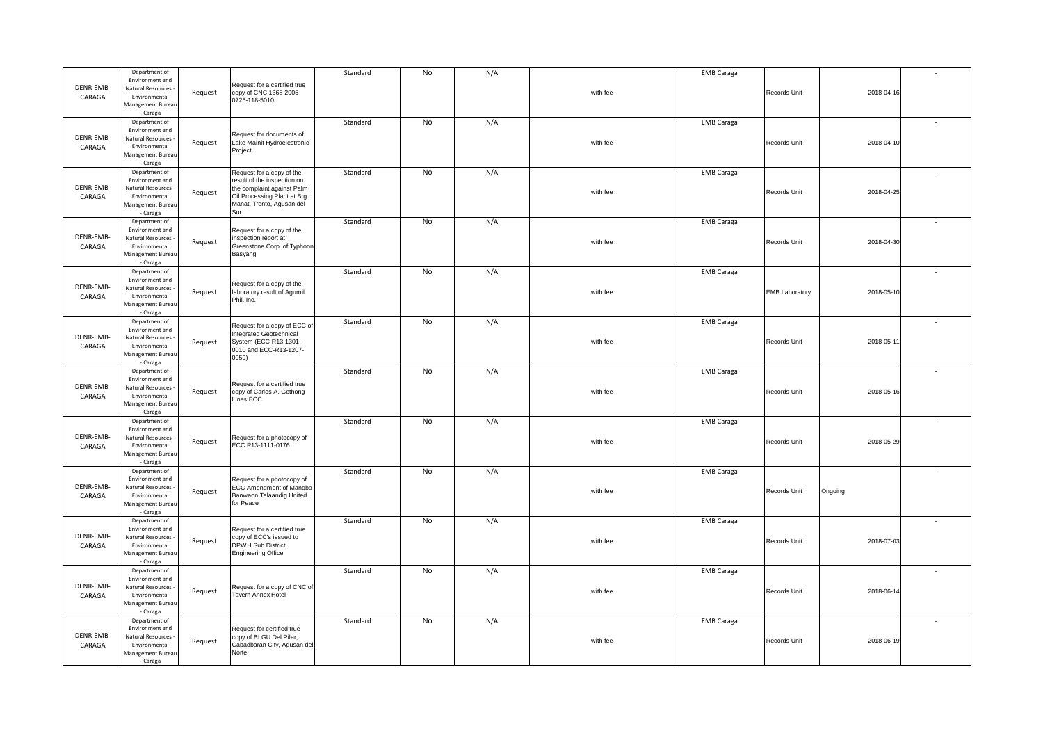|           | Department of                      |         |                                                           | Standard | No | N/A |          | <b>EMB Caraga</b> |                       |            |                          |
|-----------|------------------------------------|---------|-----------------------------------------------------------|----------|----|-----|----------|-------------------|-----------------------|------------|--------------------------|
|           | Environment and                    |         |                                                           |          |    |     |          |                   |                       |            |                          |
| DENR-EMB- | Natural Resources                  |         | Request for a certified true<br>copy of CNC 1368-2005-    |          |    |     | with fee |                   | Records Unit          | 2018-04-16 |                          |
| CARAGA    | Environmental                      | Request | 0725-118-5010                                             |          |    |     |          |                   |                       |            |                          |
|           | Management Bureau                  |         |                                                           |          |    |     |          |                   |                       |            |                          |
|           | - Caraga                           |         |                                                           |          |    |     |          |                   |                       |            |                          |
|           | Department of                      |         |                                                           | Standard | No | N/A |          | <b>EMB Caraga</b> |                       |            |                          |
|           | Environment and                    |         | Request for documents of                                  |          |    |     |          |                   |                       |            |                          |
| DENR-EMB- | Natural Resources                  | Request | Lake Mainit Hydroelectronic                               |          |    |     | with fee |                   | Records Unit          | 2018-04-10 |                          |
| CARAGA    | Environmental                      |         | Project                                                   |          |    |     |          |                   |                       |            |                          |
|           | Management Bureau                  |         |                                                           |          |    |     |          |                   |                       |            |                          |
|           | - Caraga                           |         |                                                           |          |    |     |          |                   |                       |            |                          |
|           | Department of<br>Environment and   |         | Request for a copy of the                                 | Standard | No | N/A |          | <b>EMB Caraga</b> |                       |            |                          |
| DENR-EMB- | Natural Resources                  |         | result of the inspection on<br>the complaint against Palm |          |    |     |          |                   |                       |            |                          |
|           | Environmental                      | Request | Oil Processing Plant at Brg.                              |          |    |     | with fee |                   | Records Unit          | 2018-04-25 |                          |
| CARAGA    | Management Bureau                  |         | Manat, Trento, Agusan del                                 |          |    |     |          |                   |                       |            |                          |
|           | - Caraga                           |         | Sur                                                       |          |    |     |          |                   |                       |            |                          |
|           | Department of                      |         |                                                           | Standard | No | N/A |          | <b>EMB Caraga</b> |                       |            | $\overline{\phantom{a}}$ |
|           | Environment and                    |         | Request for a copy of the                                 |          |    |     |          |                   |                       |            |                          |
| DENR-EMB- | Natural Resources                  |         | inspection report at                                      |          |    |     |          |                   |                       |            |                          |
| CARAGA    | Environmental                      | Request | Greenstone Corp. of Typhoon                               |          |    |     | with fee |                   | Records Unit          | 2018-04-30 |                          |
|           | Management Bureau                  |         | Basyang                                                   |          |    |     |          |                   |                       |            |                          |
|           | - Caraga                           |         |                                                           |          |    |     |          |                   |                       |            |                          |
|           | Department of                      |         |                                                           | Standard | No | N/A |          | <b>EMB Caraga</b> |                       |            |                          |
|           | Environment and                    |         | Request for a copy of the                                 |          |    |     |          |                   |                       |            |                          |
| DENR-EMB- | Natural Resources                  | Request | laboratory result of Agumil                               |          |    |     | with fee |                   | <b>EMB Laboratory</b> | 2018-05-10 |                          |
| CARAGA    | Environmental                      |         | Phil. Inc.                                                |          |    |     |          |                   |                       |            |                          |
|           | Management Bureau                  |         |                                                           |          |    |     |          |                   |                       |            |                          |
|           | - Caraga                           |         |                                                           |          |    |     |          |                   |                       |            |                          |
|           | Department of                      |         | Request for a copy of ECC of                              | Standard | No | N/A |          | <b>EMB Caraga</b> |                       |            |                          |
| DENR-EMB- | Environment and                    |         | <b>Integrated Geotechnical</b>                            |          |    |     |          |                   |                       |            |                          |
|           | Natural Resources<br>Environmental | Request | System (ECC-R13-1301-                                     |          |    |     | with fee |                   | Records Unit          | 2018-05-11 |                          |
| CARAGA    | Management Bureau                  |         | 0010 and ECC-R13-1207-                                    |          |    |     |          |                   |                       |            |                          |
|           | - Caraga                           |         | 0059)                                                     |          |    |     |          |                   |                       |            |                          |
|           | Department of                      |         |                                                           | Standard | No | N/A |          | <b>EMB Caraga</b> |                       |            |                          |
|           |                                    |         |                                                           |          |    |     |          |                   |                       |            |                          |
|           |                                    |         |                                                           |          |    |     |          |                   |                       |            |                          |
| DENR-EMB- | Environment and                    |         | Request for a certified true                              |          |    |     |          |                   |                       |            |                          |
|           | Natural Resources                  | Request | copy of Carlos A. Gothong                                 |          |    |     | with fee |                   | Records Unit          | 2018-05-16 |                          |
| CARAGA    | Environmental<br>Management Bureau |         | Lines ECC                                                 |          |    |     |          |                   |                       |            |                          |
|           | - Caraga                           |         |                                                           |          |    |     |          |                   |                       |            |                          |
|           | Department of                      |         |                                                           | Standard | No | N/A |          | <b>EMB Caraga</b> |                       |            |                          |
|           | Environment and                    |         |                                                           |          |    |     |          |                   |                       |            |                          |
| DENR-EMB- | Natural Resources                  |         | Request for a photocopy of                                |          |    |     |          |                   |                       |            |                          |
| CARAGA    | Environmental                      | Request | ECC R13-1111-0176                                         |          |    |     | with fee |                   | Records Unit          | 2018-05-29 |                          |
|           | Management Bureau                  |         |                                                           |          |    |     |          |                   |                       |            |                          |
|           | - Caraga                           |         |                                                           |          |    |     |          |                   |                       |            |                          |
|           | Department of                      |         |                                                           | Standard | No | N/A |          | <b>EMB Caraga</b> |                       |            |                          |
|           | Environment and                    |         | Request for a photocopy of                                |          |    |     |          |                   |                       |            |                          |
| DENR-EMB- | Natural Resources                  | Request | ECC Amendment of Manobo                                   |          |    |     | with fee |                   | Records Unit          | Ongoing    |                          |
| CARAGA    | Environmental                      |         | Banwaon Talaandig United                                  |          |    |     |          |                   |                       |            |                          |
|           | Management Bureau                  |         | for Peace                                                 |          |    |     |          |                   |                       |            |                          |
|           | - Caraga<br>Department of          |         |                                                           | Standard | No |     |          |                   |                       |            |                          |
|           | Environment and                    |         | Request for a certified true                              |          |    | N/A |          | <b>EMB Caraga</b> |                       |            |                          |
| DENR-EMB- | Natural Resources                  |         | copy of ECC's issued to                                   |          |    |     |          |                   |                       |            |                          |
| CARAGA    | Environmental                      | Request | DPWH Sub District                                         |          |    |     | with fee |                   | Records Unit          | 2018-07-03 |                          |
|           | Management Bureau                  |         | <b>Engineering Office</b>                                 |          |    |     |          |                   |                       |            |                          |
|           | - Caraga                           |         |                                                           |          |    |     |          |                   |                       |            |                          |
|           | Department of                      |         |                                                           | Standard | No | N/A |          | <b>EMB Caraga</b> |                       |            | ٠                        |
|           | Environment and                    |         |                                                           |          |    |     |          |                   |                       |            |                          |
| DENR-EMB- | Natural Resources                  |         | Request for a copy of CNC of                              |          |    |     | with fee |                   | Records Unit          | 2018-06-14 |                          |
| CARAGA    | Environmental                      | Request | Tavern Annex Hotel                                        |          |    |     |          |                   |                       |            |                          |
|           | Management Bureau                  |         |                                                           |          |    |     |          |                   |                       |            |                          |
|           | - Caraga                           |         |                                                           |          |    |     |          |                   |                       |            |                          |
|           | Department of                      |         |                                                           | Standard | No | N/A |          | <b>EMB Caraga</b> |                       |            |                          |
|           | Environment and                    |         | Request for certified true                                |          |    |     |          |                   |                       |            |                          |
| DENR-EMB- | Natural Resources                  | Request | copy of BLGU Del Pilar,                                   |          |    |     | with fee |                   | Records Unit          | 2018-06-19 |                          |
| CARAGA    | Environmental                      |         | Cabadbaran City, Agusan del                               |          |    |     |          |                   |                       |            |                          |
|           | Management Bureau<br>- Caraga      |         | Norte                                                     |          |    |     |          |                   |                       |            |                          |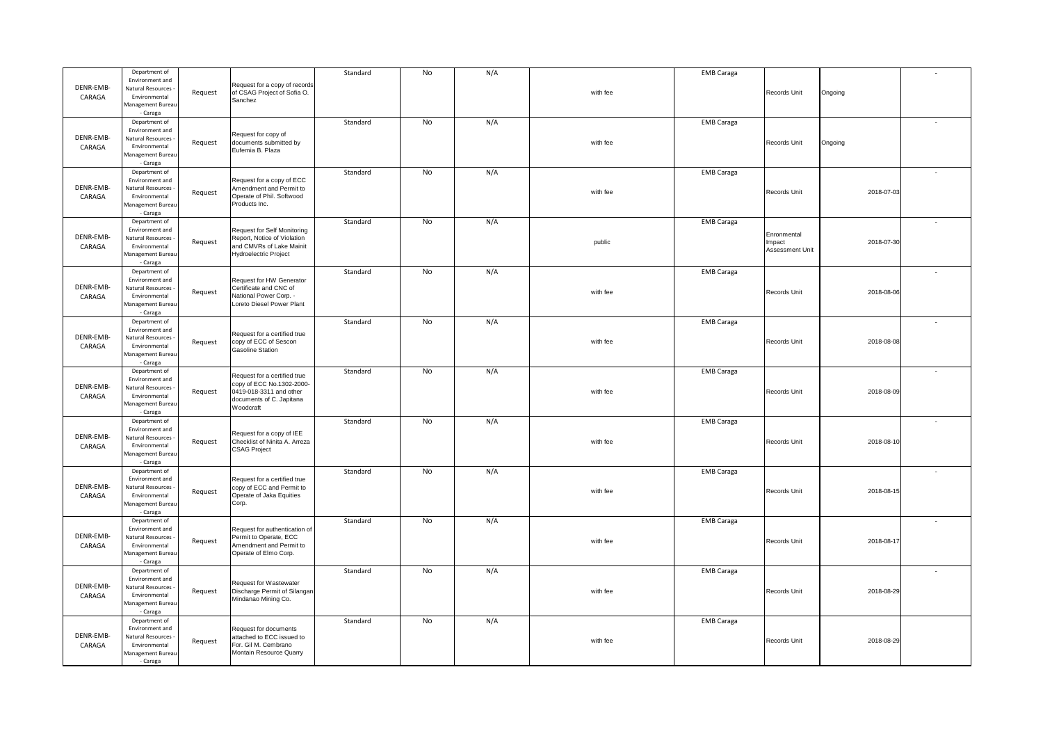|           | Department of                      |         |                                                         | Standard | No | N/A |          | <b>EMB Caraga</b> |                 |            |                          |
|-----------|------------------------------------|---------|---------------------------------------------------------|----------|----|-----|----------|-------------------|-----------------|------------|--------------------------|
|           | Environment and                    |         | Request for a copy of records                           |          |    |     |          |                   |                 |            |                          |
| DENR-EMB- | Natural Resources                  | Request | of CSAG Project of Sofia O.                             |          |    |     | with fee |                   | Records Unit    | Ongoing    |                          |
| CARAGA    | Environmental<br>Management Bureau |         | Sanchez                                                 |          |    |     |          |                   |                 |            |                          |
|           | - Caraga                           |         |                                                         |          |    |     |          |                   |                 |            |                          |
|           | Department of                      |         |                                                         | Standard | No | N/A |          | <b>EMB Caraga</b> |                 |            |                          |
|           | Environment and                    |         |                                                         |          |    |     |          |                   |                 |            |                          |
| DENR-EMB- | Natural Resources                  | Request | Request for copy of<br>documents submitted by           |          |    |     | with fee |                   | Records Unit    | Ongoing    |                          |
| CARAGA    | Environmental                      |         | Eufemia B. Plaza                                        |          |    |     |          |                   |                 |            |                          |
|           | Management Bureau                  |         |                                                         |          |    |     |          |                   |                 |            |                          |
|           | - Caraga                           |         |                                                         |          | No |     |          |                   |                 |            |                          |
|           | Department of<br>Environment and   |         | Request for a copy of ECC                               | Standard |    | N/A |          | <b>EMB Caraga</b> |                 |            | $\overline{\phantom{a}}$ |
| DENR-EMB- | Natural Resources                  |         | Amendment and Permit to                                 |          |    |     |          |                   |                 |            |                          |
| CARAGA    | Environmental                      | Request | Operate of Phil. Softwood                               |          |    |     | with fee |                   | Records Unit    | 2018-07-03 |                          |
|           | Management Bureau                  |         | Products Inc.                                           |          |    |     |          |                   |                 |            |                          |
|           | - Caraga                           |         |                                                         |          |    |     |          |                   |                 |            |                          |
|           | Department of                      |         |                                                         | Standard | No | N/A |          | <b>EMB Caraga</b> |                 |            |                          |
| DENR-EMB- | Environment and                    |         | <b>Request for Self Monitoring</b>                      |          |    |     |          |                   | Enronmental     |            |                          |
| CARAGA    | Natural Resources<br>Environmental | Request | Report, Notice of Violation<br>and CMVRs of Lake Mainit |          |    |     | public   |                   | mpact           | 2018-07-30 |                          |
|           | Management Bureau                  |         | <b>Hydroelectric Project</b>                            |          |    |     |          |                   | Assessment Unit |            |                          |
|           | - Caraga                           |         |                                                         |          |    |     |          |                   |                 |            |                          |
|           | Department of                      |         |                                                         | Standard | No | N/A |          | <b>EMB Caraga</b> |                 |            | $\sim$                   |
|           | Environment and                    |         | Request for HW Generator                                |          |    |     |          |                   |                 |            |                          |
| DENR-EMB- | Natural Resources                  | Request | Certificate and CNC of                                  |          |    |     | with fee |                   | Records Unit    | 2018-08-06 |                          |
| CARAGA    | Environmental<br>Management Bureau |         | National Power Corp. -<br>Loreto Diesel Power Plant     |          |    |     |          |                   |                 |            |                          |
|           | - Caraga                           |         |                                                         |          |    |     |          |                   |                 |            |                          |
|           | Department of                      |         |                                                         | Standard | No | N/A |          | <b>EMB Caraga</b> |                 |            | $\sim$                   |
|           | Environment and                    |         |                                                         |          |    |     |          |                   |                 |            |                          |
| DENR-EMB- | Natural Resources                  | Request | Request for a certified true<br>copy of ECC of Sescon   |          |    |     | with fee |                   | Records Unit    | 2018-08-08 |                          |
| CARAGA    | Environmental                      |         | <b>Gasoline Station</b>                                 |          |    |     |          |                   |                 |            |                          |
|           | Management Bureau<br>- Caraga      |         |                                                         |          |    |     |          |                   |                 |            |                          |
|           | Department of                      |         |                                                         | Standard | No | N/A |          | <b>EMB Caraga</b> |                 |            |                          |
|           | Environment and                    |         | Request for a certified true                            |          |    |     |          |                   |                 |            |                          |
| DENR-EMB- | Natural Resources                  |         | copy of ECC No.1302-2000-                               |          |    |     |          |                   |                 |            |                          |
| CARAGA    | Environmental                      | Request | 0419-018-3311 and other<br>documents of C. Japitana     |          |    |     | with fee |                   | Records Unit    | 2018-08-09 |                          |
|           | Management Bureau                  |         | Woodcraft                                               |          |    |     |          |                   |                 |            |                          |
|           | - Caraga                           |         |                                                         |          |    |     |          |                   |                 |            |                          |
|           | Department of<br>Environment and   |         |                                                         | Standard | No | N/A |          | <b>EMB Caraga</b> |                 |            |                          |
| DENR-EMB- | Natural Resources                  |         | Request for a copy of IEE                               |          |    |     |          |                   |                 |            |                          |
| CARAGA    | Environmental                      | Request | Checklist of Ninita A. Arreza                           |          |    |     | with fee |                   | Records Unit    | 2018-08-10 |                          |
|           | Management Burear                  |         | <b>CSAG Project</b>                                     |          |    |     |          |                   |                 |            |                          |
|           | - Caraga                           |         |                                                         |          |    |     |          |                   |                 |            |                          |
|           | Department of                      |         |                                                         | Standard | No | N/A |          | <b>EMB Caraga</b> |                 |            |                          |
| DENR-EMB- | Environment and                    |         | Request for a certified true                            |          |    |     |          |                   |                 |            |                          |
| CARAGA    | Natural Resources<br>Environmental | Request | copy of ECC and Permit to<br>Operate of Jaka Equities   |          |    |     | with fee |                   | Records Unit    | 2018-08-15 |                          |
|           | Management Bureau                  |         | Corp.                                                   |          |    |     |          |                   |                 |            |                          |
|           | - Caraga                           |         |                                                         |          |    |     |          |                   |                 |            |                          |
|           | Department of                      |         |                                                         | Standard | No | N/A |          | <b>EMB Caraga</b> |                 |            |                          |
|           | Environment and                    |         | Request for authentication of                           |          |    |     |          |                   |                 |            |                          |
| DENR-EMB- | Natural Resources -                | Request | Permit to Operate, ECC                                  |          |    |     | with fee |                   | Records Unit    | 2018-08-17 |                          |
| CARAGA    | Environmental<br>Management Bureau |         | Amendment and Permit to<br>Operate of Elmo Corp.        |          |    |     |          |                   |                 |            |                          |
|           | - Caraga                           |         |                                                         |          |    |     |          |                   |                 |            |                          |
|           | Department of                      |         |                                                         | Standard | No | N/A |          | <b>EMB Caraga</b> |                 |            | ٠                        |
|           | Environment and                    |         | Request for Wastewater                                  |          |    |     |          |                   |                 |            |                          |
| DENR-EMB- | Natural Resources                  | Request | Discharge Permit of Silangan                            |          |    |     | with fee |                   | Records Unit    | 2018-08-29 |                          |
| CARAGA    | Environmental                      |         | Mindanao Mining Co.                                     |          |    |     |          |                   |                 |            |                          |
|           | Management Bureau<br>- Caraga      |         |                                                         |          |    |     |          |                   |                 |            |                          |
|           | Department of                      |         |                                                         | Standard | No | N/A |          | <b>EMB Caraga</b> |                 |            |                          |
|           | Environment and                    |         | Request for documents                                   |          |    |     |          |                   |                 |            |                          |
| DENR-EMB- | Natural Resources                  |         | attached to ECC issued to                               |          |    |     |          |                   |                 |            |                          |
| CARAGA    | Environmental                      | Request | For. Gil M. Cembrano                                    |          |    |     | with fee |                   | Records Unit    | 2018-08-29 |                          |
|           | Management Bureau                  |         | Montain Resource Quarry                                 |          |    |     |          |                   |                 |            |                          |
|           | - Caraga                           |         |                                                         |          |    |     |          |                   |                 |            |                          |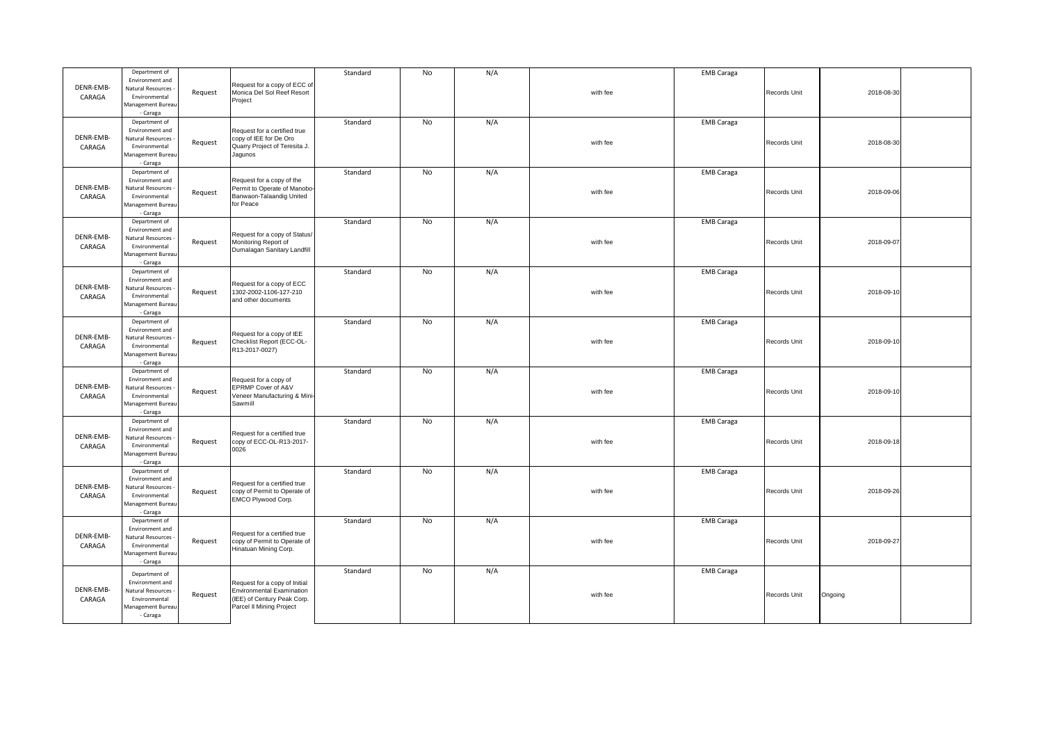| DENR-EMB-<br>CARAGA | Department of<br>Environment and<br>Natural Resources<br>Environmental<br>Management Bureau             | Request | Request for a copy of ECC of<br>Monica Del Sol Reef Resort<br>Project                                                        | Standard | No        | N/A | with fee | <b>EMB Caraga</b> | Records Unit | 2018-08-30 |  |
|---------------------|---------------------------------------------------------------------------------------------------------|---------|------------------------------------------------------------------------------------------------------------------------------|----------|-----------|-----|----------|-------------------|--------------|------------|--|
|                     | - Caraga                                                                                                |         |                                                                                                                              |          |           |     |          |                   |              |            |  |
| DENR-EMB-<br>CARAGA | Department of<br>Environment and<br>Natural Resources<br>Environmental<br>Management Bureau<br>- Caraga | Request | Request for a certified true<br>copy of IEE for De Oro<br>Quarry Project of Teresita J.<br>Jagunos                           | Standard | No        | N/A | with fee | <b>EMB Caraga</b> | Records Unit | 2018-08-30 |  |
| DENR-EMB-<br>CARAGA | Department of<br>Environment and<br>Natural Resources<br>Environmental<br>Management Bureau<br>- Caraga | Request | Request for a copy of the<br>Permit to Operate of Manobo-<br>Banwaon-Talaandig United<br>for Peace                           | Standard | No        | N/A | with fee | <b>EMB Caraga</b> | Records Unit | 2018-09-06 |  |
| DENR-EMB-<br>CARAGA | Department of<br>Environment and<br>Natural Resources<br>Environmental<br>Management Bureau<br>- Caraga | Request | Request for a copy of Status/<br>Monitoring Report of<br>Dumalagan Sanitary Landfill                                         | Standard | No        | N/A | with fee | <b>EMB Caraga</b> | Records Unit | 2018-09-07 |  |
| DENR-EMB-<br>CARAGA | Department of<br>Environment and<br>Natural Resources<br>Environmental<br>Management Bureau<br>- Caraga | Request | Request for a copy of ECC<br>1302-2002-1106-127-210<br>and other documents                                                   | Standard | <b>No</b> | N/A | with fee | <b>EMB Caraga</b> | Records Unit | 2018-09-10 |  |
| DENR-EMB-<br>CARAGA | Department of<br>Environment and<br>Natural Resources<br>Environmental<br>Aanagement Bureau<br>- Caraga | Request | Request for a copy of IEE<br>Checklist Report (ECC-OL-<br>R13-2017-0027)                                                     | Standard | No        | N/A | with fee | <b>EMB Caraga</b> | Records Unit | 2018-09-10 |  |
| DENR-EMB-<br>CARAGA | Department of<br>Environment and<br>Natural Resources<br>Environmental<br>Management Bureau<br>- Caraga | Request | Request for a copy of<br>EPRMP Cover of A&V<br>Veneer Manufacturing & Mini-<br>Sawmill                                       | Standard | <b>No</b> | N/A | with fee | <b>EMB Caraga</b> | Records Unit | 2018-09-10 |  |
| DENR-EMB-<br>CARAGA | Department of<br>Environment and<br>Natural Resources<br>Environmental<br>Management Bureau<br>- Caraga | Request | Request for a certified true<br>copy of ECC-OL-R13-2017-<br>0026                                                             | Standard | No        | N/A | with fee | <b>EMB Caraga</b> | Records Unit | 2018-09-18 |  |
| DENR-EMB-<br>CARAGA | Department of<br>Environment and<br>Natural Resources<br>Environmental<br>Aanagement Bureau<br>- Caraga | Request | Request for a certified true<br>copy of Permit to Operate of<br>EMCO Plywood Corp.                                           | Standard | No        | N/A | with fee | <b>EMB Caraga</b> | Records Unit | 2018-09-26 |  |
| DENR-EMB-<br>CARAGA | Department of<br>Environment and<br>Natural Resources<br>Environmental<br>Management Bureau<br>- Caraga | Request | Request for a certified true<br>copy of Permit to Operate of<br>Hinatuan Mining Corp.                                        | Standard | No        | N/A | with fee | <b>EMB Caraga</b> | Records Unit | 2018-09-27 |  |
| DENR-EMB-<br>CARAGA | Department of<br>Environment and<br>Natural Resources<br>Environmental<br>Management Bureau<br>- Caraga | Request | Request for a copy of Initial<br><b>Environmental Examination</b><br>(IEE) of Century Peak Corp.<br>Parcel II Mining Project | Standard | No        | N/A | with fee | <b>EMB Caraga</b> | Records Unit | Ongoing    |  |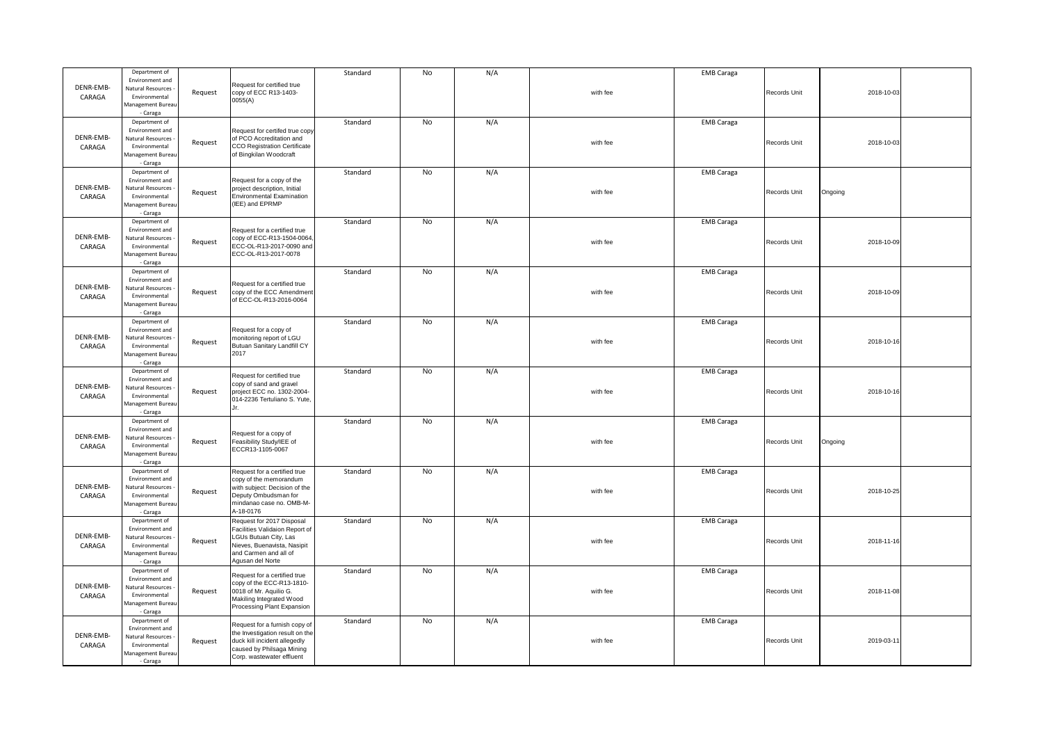|           | Department of                        |         |                                                           | Standard | No | N/A |          | <b>EMB Caraga</b> |              |            |  |
|-----------|--------------------------------------|---------|-----------------------------------------------------------|----------|----|-----|----------|-------------------|--------------|------------|--|
|           | Environment and                      |         |                                                           |          |    |     |          |                   |              |            |  |
| DENR-EMB- | Natural Resources                    |         | Request for certified true<br>copy of ECC R13-1403-       |          |    |     | with fee |                   | Records Unit | 2018-10-03 |  |
| CARAGA    | Environmental                        | Request | 0055(A)                                                   |          |    |     |          |                   |              |            |  |
|           | Management Bureau                    |         |                                                           |          |    |     |          |                   |              |            |  |
|           | - Caraga                             |         |                                                           |          |    |     |          |                   |              |            |  |
|           | Department of                        |         |                                                           | Standard | No | N/A |          | <b>EMB Caraga</b> |              |            |  |
|           | Environment and                      |         | Request for certifed true copy                            |          |    |     |          |                   |              |            |  |
| DENR-EMB- | Natural Resources                    | Request | of PCO Accreditation and                                  |          |    |     | with fee |                   | Records Unit | 2018-10-03 |  |
| CARAGA    | Environmental                        |         | CCO Registration Certificate                              |          |    |     |          |                   |              |            |  |
|           | Management Bureau                    |         | of Bingkilan Woodcraft                                    |          |    |     |          |                   |              |            |  |
|           | - Caraga                             |         |                                                           |          |    |     |          |                   |              |            |  |
|           | Department of                        |         |                                                           | Standard | No | N/A |          | <b>EMB Caraga</b> |              |            |  |
| DENR-EMB- | Environment and                      |         | Request for a copy of the                                 |          |    |     |          |                   |              |            |  |
|           | Natural Resources                    | Request | project description, Initial                              |          |    |     | with fee |                   | Records Unit | Ongoing    |  |
| CARAGA    | Environmental                        |         | <b>Environmental Examination</b><br>(IEE) and EPRMP       |          |    |     |          |                   |              |            |  |
|           | Management Bureau<br>- Caraga        |         |                                                           |          |    |     |          |                   |              |            |  |
|           |                                      |         |                                                           |          |    |     |          |                   |              |            |  |
|           | Department of                        |         |                                                           | Standard | No | N/A |          | <b>EMB Caraga</b> |              |            |  |
| DENR-EMB- | Environment and<br>Natural Resources |         | Request for a certified true<br>copy of ECC-R13-1504-0064 |          |    |     |          |                   |              |            |  |
|           | Environmental                        | Request | ECC-OL-R13-2017-0090 and                                  |          |    |     | with fee |                   | Records Unit | 2018-10-09 |  |
| CARAGA    | Management Bureau                    |         | ECC-OL-R13-2017-0078                                      |          |    |     |          |                   |              |            |  |
|           | - Caraga                             |         |                                                           |          |    |     |          |                   |              |            |  |
|           | Department of                        |         |                                                           | Standard | No | N/A |          | <b>EMB Caraga</b> |              |            |  |
|           | Environment and                      |         |                                                           |          |    |     |          |                   |              |            |  |
| DENR-EMB- | Natural Resources                    |         | Request for a certified true                              |          |    |     |          |                   |              |            |  |
| CARAGA    | Environmental                        | Request | copy of the ECC Amendment                                 |          |    |     | with fee |                   | Records Unit | 2018-10-09 |  |
|           | Management Bureau                    |         | of ECC-OL-R13-2016-0064                                   |          |    |     |          |                   |              |            |  |
|           | - Caraga                             |         |                                                           |          |    |     |          |                   |              |            |  |
|           | Department of                        |         |                                                           | Standard | No | N/A |          | <b>EMB Caraga</b> |              |            |  |
|           | Environment and                      |         | Request for a copy of                                     |          |    |     |          |                   |              |            |  |
| DENR-EMB- | Natural Resources                    |         | monitoring report of LGU                                  |          |    |     |          |                   |              |            |  |
| CARAGA    | Environmental                        | Request | Butuan Sanitary Landfill CY                               |          |    |     | with fee |                   | Records Unit | 2018-10-16 |  |
|           | Management Bureau                    |         | 2017                                                      |          |    |     |          |                   |              |            |  |
|           | - Caraga                             |         |                                                           |          |    |     |          |                   |              |            |  |
|           | Department of                        |         |                                                           | Standard | No | N/A |          | <b>EMB Caraga</b> |              |            |  |
|           | Environment and                      |         | Request for certified true                                |          |    |     |          |                   |              |            |  |
| DENR-EMB- | Natural Resources                    |         | copy of sand and gravel                                   |          |    |     |          |                   |              |            |  |
| CARAGA    |                                      |         |                                                           |          |    |     |          |                   |              |            |  |
|           | Environmental                        | Request | project ECC no. 1302-2004-                                |          |    |     | with fee |                   | Records Unit | 2018-10-16 |  |
|           | Management Bureau                    |         | 014-2236 Tertuliano S. Yute,                              |          |    |     |          |                   |              |            |  |
|           | - Caraga                             |         | Jr.                                                       |          |    |     |          |                   |              |            |  |
|           | Department of                        |         |                                                           | Standard | No | N/A |          | <b>EMB Caraga</b> |              |            |  |
|           | Environment and                      |         |                                                           |          |    |     |          |                   |              |            |  |
| DENR-EMB- | Natural Resources                    |         | Request for a copy of                                     |          |    |     |          |                   |              |            |  |
| CARAGA    | Environmental                        | Request | Feasibility Study/IEE of                                  |          |    |     | with fee |                   | Records Unit | Ongoing    |  |
|           | Management Bureau                    |         | ECCR13-1105-0067                                          |          |    |     |          |                   |              |            |  |
|           | - Caraga                             |         |                                                           |          |    |     |          |                   |              |            |  |
|           | Department of                        |         | Request for a certified true                              | Standard | No | N/A |          | <b>EMB Caraga</b> |              |            |  |
|           | Environment and                      |         | copy of the memorandum                                    |          |    |     |          |                   |              |            |  |
| DENR-EMB- | Natural Resources                    | Request | with subject: Decision of the                             |          |    |     | with fee |                   | Records Unit |            |  |
| CARAGA    | Environmental                        |         | Deputy Ombudsman for                                      |          |    |     |          |                   |              | 2018-10-25 |  |
|           | Management Bureau                    |         | mindanao case no. OMB-M-                                  |          |    |     |          |                   |              |            |  |
|           | - Caraga                             |         | A-18-0176                                                 |          |    |     |          |                   |              |            |  |
|           | Department of                        |         | Request for 2017 Disposal                                 | Standard | No | N/A |          | <b>EMB Caraga</b> |              |            |  |
|           | Environment and                      |         | Facilities Validaion Report of                            |          |    |     |          |                   |              |            |  |
| DENR-EMB- | Natural Resources                    | Request | LGUs Butuan City, Las                                     |          |    |     | with fee |                   | Records Unit | 2018-11-16 |  |
| CARAGA    | Environmental                        |         | Nieves, Buenavista, Nasipit                               |          |    |     |          |                   |              |            |  |
|           | Management Bureau                    |         | and Carmen and all of                                     |          |    |     |          |                   |              |            |  |
|           | - Caraga                             |         | Agusan del Norte                                          |          |    |     |          |                   |              |            |  |
|           | Department of                        |         | Request for a certified true                              | Standard | No | N/A |          | <b>EMB Caraga</b> |              |            |  |
| DENR-EMB- | Environment and                      |         | copy of the ECC-R13-1810-                                 |          |    |     |          |                   |              |            |  |
|           | Natural Resources                    | Request | 0018 of Mr. Aquilio G.                                    |          |    |     | with fee |                   | Records Unit | 2018-11-08 |  |
| CARAGA    | Environmental                        |         | Makiling Integrated Wood                                  |          |    |     |          |                   |              |            |  |
|           | Management Bureau                    |         | Processing Plant Expansion                                |          |    |     |          |                   |              |            |  |
|           | - Caraga                             |         |                                                           |          |    |     |          |                   |              |            |  |
|           | Department of                        |         | Request for a furnish copy of                             | Standard | No | N/A |          | <b>EMB Caraga</b> |              |            |  |
| DENR-EMB- | Environment and<br>Natural Resources |         | the Investigation result on the                           |          |    |     |          |                   |              |            |  |
| CARAGA    | Environmental                        | Request | duck kill incident allegedly                              |          |    |     | with fee |                   | Records Unit | 2019-03-11 |  |
|           | Management Bureau                    |         | caused by Philsaga Mining<br>Corp. wastewater effluent    |          |    |     |          |                   |              |            |  |